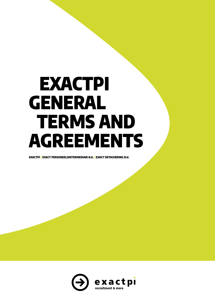# EXACTPI GENERAL TERMS AND AGREEMENTS

EXACTPI / EXACT PERSONEELSINTERMEDIAIR B.V. / EXACT DETACHERING B.V.

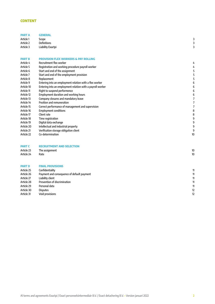# **CONTENT**

| Article 24    | Rate                                                       | 10 |
|---------------|------------------------------------------------------------|----|
| Article 23    | The assignment                                             | 10 |
| <b>PART C</b> | <b>RECRUITMENT AND SELECTION</b>                           |    |
| Article 22    | Co-determination                                           | 10 |
| Article 21    | Verification storage obligation client                     | c  |
| Article 20    | Intellectual and industrial property                       | S  |
| Article 19    | Digital data exchange                                      | S  |
| Article 18    | Time registration                                          |    |
| Article 17    | Client rate                                                | 8  |
| Article 16    | <b>Employment conditions</b>                               |    |
| Article 15    | Correct performance of management and supervision          |    |
| Article 14    | Position and remuneration                                  |    |
| Article 13    | Company closures and mandatory leave                       |    |
| Article 12    | Employment duration and working hours                      |    |
| Article 11    | Right to suspend performence                               |    |
| Article 10    | Entering into an employment relation with a payroll worker |    |
| Article 9     | Entering into an employment relation with a flex worker    |    |
| Article 8     | Replacement                                                |    |
| Article 7     | Start and end of the employment provision                  |    |
| Article 6     | Start and end of the assignment                            |    |
| Article 5     | Registration and working procedure payroll worker          |    |
| Article 4     | Recruitment flex worker                                    |    |
| <b>PART B</b> | <b>PROVISION FLEX WORKERS &amp; PAY ROLLING</b>            |    |
|               |                                                            |    |
| Article 3     | Liability Exactpi                                          |    |
| Article 2     | <b>Definitions</b>                                         |    |
| Article 1     | Scope                                                      |    |
| <b>PART A</b> | <b>GENERAL</b>                                             |    |

# PART D FINAL PROVISIONS

| Article 25 | Confidentiality                            | 11 |
|------------|--------------------------------------------|----|
| Article 26 | Payment and consequence of default payment | 11 |
| Article 27 | Liability client                           | 11 |
| Article 28 | Prevention of discrimination               | 11 |
| Article 29 | Personal data                              | 11 |
| Article 30 | <b>Disputes</b>                            | 12 |
| Article 31 | Void provisions                            | 12 |
|            |                                            |    |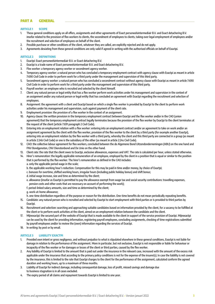# PART A GENERAL

#### ARTICLE 1 SCOPE

- 1. These general conditions apply on all offers, assignments and other agreements of Exact personeelsintermediair B.V. and Exact detachering B.V. insofar related to the provision of flex workers to clients, the secondment of employees to clients, taking over legal employment of employees and/or the recruitment and selection of employees on behalf of the client.
- 2. Possible purchase or other conditions of the client, whatever they are called, are explicitly rejected and do not apply.
- 3. Agreements deviating from these general conditions are only valid if agreed in writing with the authorised officials on behalf of Exactpi.

#### ARTICLE 2 DEFINITIONS

- 1. Exactpi: Exact personeelsintermediair B.V. or Exact detachering B.V.
- 2. Exactpi is a trade name of Exact personeelsintermediair B.V. and Exact detachering B.V.
- 3. Flex worker: a temporary agency worker or secondment agency worker.
- 4. Temporary agency worker: a natural person who has concluded a temporary employment contract with agency clause with Exactpi as meant in article 7:690 Civil Code in order to perform work for a third party under the management and supervision of this third party.
- 5. Secondment agency worker: a natural person who has concluded a secondment contract without agency clause with Exactpi as meant in article 7:690 Civil Code in order to perform work for a third party under the management and supervision of this third party.
- 6. Payroll worker: an employee who is recruited and selected by the client himself.
- 7. Client: any natural person or legal entity that has a flex worker perform work activities under his management and supervision in the context of an assignment and/or any natural person or legal entity that has concluded an agreement with Exactpi regarding the recruitment and selection of employees.
- 8. Assignment: the agreement with a client and Exactpi based on which a single flex worker is provided by Exactpi to the client to perform work activities under his management and supervision, such against payment of the client rate.
- 9. Employment provision: the provision of a flex worker in the context of an assignment.
- 10. Agency clause: the written provision in the temporary employment contract between Exactpi and the flex worker and/or in the CAO (union agreement) that the temporary employment contract legally terminates because the provision of the flex worker by Exactpi to the client terminates at the request of the client (article 7:691 paragraph 2 Civil Code).
- 11. Entering into an employment relation with a flex worker: entering into an employment contract and/or an agreement to take on work and/or an assignment agreement by the client with the flex worker, provision of the flex worker to the client by a third party (for example another Exactpi), entering into an employment relation by the flex worker with a third party, whereby the client and this third party are connected in a group (as meant in article 2:24b Civil Code) or one is the subsidiary of the other (as meant in article 2:24s Civil Code).
- 12. CAO: the collective labour agreement for flex workers, concluded between the de Algemene Bond Uitzendondernemingen (ABU) on the one hand and FNV Bondgenoten, CNV Dienstenbond and De Unie on the other hand.
- 13. Client rate: the rate that the client owes to Exactpi, exclusive allowances, expenses and VAT. The rate is calculated per hour, unless stated otherwise.
- 14. Hirer's remuneration: the legally applicable remuneration of an employee, employed by the client in a position that is equal or similar to the position that is performed by the flex worker. The hirer's remuneration as defined in the CAO includes:
	- a. only the applicable period wage in the scale;
	- b. the applicable working hour's reduction. Compensation for this may be paid in time and/or money, by choice of Exactpi;
	- c. bonuses for overtime, shifted working hours, irregular hours (including public holiday bonus) and shift bonus;
	- d. initial wage increase, size and time as determined by the client;
	- e. allowance (insofar as Exactpi is permitted to pay the allowance exempt from wage tax and social security contributions: travelling expenses, pension costs and other costs that are necessary on account of performing the work);
	- f. period-linked salary amounts, size and time as determined by the client;
	- g. work-at-home allowance;

h. one-time distribution regardless of the purpose or reason for the distribution. One-time benefits do not mean periodically repeating benefits.

- 15. Candidate: any natural person who is recruited and selected by Exactpi to start employment with third parties or is provided to third parties by **Exactpi**
- 16. Recruitment and selection: searching and approaching suitable candidates based on information provided by the client, for a vacancy to be fulfilled at the client or to perform work activities at the client, aimed on an employment relation between the candidate and the client.
- 17. Mijnexactpi: the secured part of the website of Exactpi that is made available to the client in support of the service provision of Exactpi. Mijnexactpi can be used by the client for providing information, registering payroll employees, concluding assignments, checking of time registrations submitted by payroll employees and/or to review the (own) information regarding the services of Exactpi.
- 18. In writing: by post or by email.

# ARTICLE 3 LIABILITY EXACTPI

- 1. Provided own intent or gross negligence, and without prejudice to what is stipulated elsewhere in these general conditions, Exactpi is not liable for damage in relation to the performance of the assignment. More in particular, but not exclusive, Exactpi is not responsible or liable for behaviour or incapacity of the flex worker or for damages or losses of the client or third parties, caused by the flex worker.
- 2. Any liability of Exactpi is limited to the amount that is paid out under the insurance in the relevant case, increased with the amount of the excess risk applicable under the insurance that according to the primary policy conditions is not for the expense of the insurer(s). In case the liability is not covered by the insurance, this is limited to the rate that Exactpi charges to the client for the performance of the assignment, calculated conform the agreed duration and working hours, up to a maximum of three months.
- 3. Liability of Exactpi for indirect damage, including consequential damage, loss of profit, missed savings and damage due to business stagnation is in all cases excluded.
- 4. The expiry period of all claims and repayment towards Exactpi is limited to one year.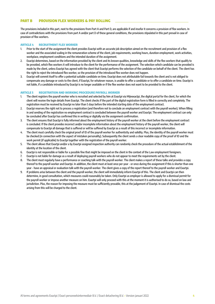# PART B PROVISION FLEX WORKERS & PAY ROLLING

The provisions included in this part, next to the provisions from Part A and Part D, are applicable if and insofar it concerns a provision of flex workers. In case of contradictions with the provisions from part A and/or part D of these general conditions, the provisions stipulated in this part prevail in case of provision of flex workers.

#### ARTICLE 4 RECRUITMENT FLEX WORKER

- 1. Prior to the start of the assignment the client provides Exactpi with an accurate job description aimed on the recruitment and provision of a flex worker and the associated scaling in the remuneration scheme of the client, job requirements, working hours, duration employment, work activities, workplace, employment conditions and the intended duration of the assignment.
- 2. Exactpi determines, based on the information provided by the client and its known qualities, knowledge and skills of the flex workers that qualify to be provided, which flex workers it will introduce to the client for the performance of the assignment. The selection which candidate can be provided is made by the client, unless Exactpi has agreed with the client that Exactpi performs the selection of the candidate on behalf of the client. The client has the right to reject the introduced flex worker, so the provision of the introduced flex worker does not happen.
- 3. Exactpi will commit itself to offer a potential suitable candidate on time. Exactpi does not attributable fail towards the client and is not obliged to compensate any damage or costs to the client, if Exactpi, for whatever reason, is unable to offer a candidate or to offer a candidate on time. Exactpi is not liable, if a candidate introduced by Exactpi is no longer available or if the flex worker does not want to be provided to the client.

# ARTICLE 5 REGISTRATION AND WORKING PROCEDURE PAYROLL WORKER

- 1. The client registers the payroll worker who is recruited and selected by him at Exactpi via Mijnexactpi, the digital portal for the client, for which the client will receive the login details from Exactpi. The client checks if the part of the digital registration form is filled in correctly and completely. The registration must be received by Exactpi no later than 5 days before the intended starting date of the employment contract.
- 2. Exactpi reserves the right not to process a registration (and therefore not to conclude an employment contract with the payroll worker). When filling in and sending of the registration no employment contract is concluded between the payroll worker and Exactpi. The employment contract can only be concluded after Exactpi has confirmed this in writing or digitally via the assignment confirmation.
- 3. The client ensures that Exactpi is fully informed about the employment history of the payroll worker at the client before the employment contract is concluded. If the client provides incorrect and/or incomplete information about the employment history of the payroll worker, the client will compensate to Exactpi all damage that is suffered or will be suffered by Exactpi as a result of this incorrect or incomplete information.
- 4. The client must carefully check the original proof of ID of the payroll worker for authenticity and validity. Plus, the identity of the payroll worker must be checked (in connection with the aspect of mistaken personality). Subsequently the client sends a clear readable copy of the proof of ID and the work permit (if applicable) to Exactpi together with the registration of the payroll worker.
- 5. The client allows that Exactpi and/or a by Exactpi assigned inspection authority can randomly check the procedure of the actual establishment of the identity at the location of the client.
- 6. Exactpi is not responsible or liable for a possible fine that might be imposed on the client in the context of the Law employment foreigners.
- 7. Exactpi is not liable for damage as a result of deploying payroll workers who do not appear to meet the requirements set by the client.
- The client must regularly have a performance or coaching talk with the payroll worker. The client makes a report of these talks and provides a copy thereof to the payroll worker and Exactpi. In addition, the client must at least once per year - or once during the assignment if this is shorter than one year - have an appraisal or evaluation talk with the payroll worker. The client gives a copy of the report thereof to the payroll worker and Exactpi.
- 9. If problems arise between the client and the payroll worker, the client will immediately inform Exactpi of this. The client and Exactpi can then determine, in good consultation, which measures could reasonably be taken. Only Exactpi as employer is allowed to apply for a dismissal permit for the payroll worker or impose another measure on him. Exactpi will only proceed with this at the moment it is authorised to do so, based on law and jurisdiction. Plus, the reason for imposing the measure must be sufficiently provable, this at the judgement of Exactpi. In case of dismissal the costs arising from this will be charged to the client.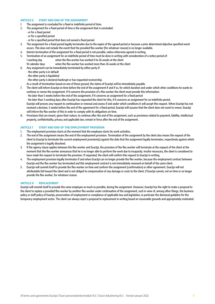#### ARTICLE 6 START AND END OF THE ASSIGNMENT

- 1. The assignment is concluded for a fixed or indefinite period of time.
- 2. The assignment for a fixed period of time is the assignment that is concluded:
	- or for a fixed period
	- or for a specified period
	- or for a specified period that does not exceed a fixed period
- 3. The assignment for a fixed period legally terminates due to the expire of the agreed period or because a prior determined objective specified event occurs. This does not include the event that the provided flex worker (for whatever reason) is no longer available.
- 4. Interim termination of the assignment for a fixed period is not possible, unless otherwise agreed in writing.
- 5. Termination of an assignment for an indefinite period of time must be done in writing with consideration of a notice period of: 1 working day when the flex worker has worked 0 to 26 weeks at the client
- 10 calendar days when the flex worker has worked more than 26 weeks at the client
- 6. Any assignment can be immediately terminated by either party if:
	- the other party is in default
	- the other party is liquidated
	- the other party is declared bankrupt or has requested receivership.
	- As a result of termination based on one of these ground, the claims of Exactpi will be immediately payable.
- 7. The client will inform Exactpi on time before the end of the assignment if and if so, for which duration and under which other conditions he wants to continue or renew the assignment. If it concerns the provision of a flex worker the client must provide this information:
	- No later than 5 weeks before the end of the assignment, if it concerns an assignment for a fixed period

- No later than 3 working days after Exactpi has requested the client for this, if it concerns an assignment for an indefinite period.

Exactpi will process any request to continuation or renewal and assess if and under which conditions it will accept this request. When Exactpi has not received a decision, 5 weeks before the end of the agreement for a fixed period, Exactpi will assume that the client does not want to renew. Exactpi will inform the flex worker of this in order to comply with its obligations on time.

8. Provisions that are meant, given their nature, to continue after the end of the assignment, such as provisions related to payment, liability, intellectual property, confidentiality, privacy and applicable law, remain in force after the end of the assignment.

#### ARTICLE 7 START AND END OF THE EMPLOYMENT PROVISION

- 1. The employment provision starts at the moment that the employee starts his work activities.
- 2. The end of the assignment means the end of the employment provision. Termination of the assignment by the client also means the request of the client to Exactpi to terminate the current employment provision(s) against the date that the assignment legally terminates, respectively against which the assignment is legally dissolved.
- 3. If the agency clause applies between the flex worker and Exactpi, the provision of the flex worker will terminate at the request of the client at the moment that the flex worker announces that he is no longer able to perform the work due to incapacity. Insofar necessary, the client is considered to have made the request to terminate the provision. If requested, the client will confirm this request to Exactpi in writing.
- 4. The employment provision legally terminates if and when Exactpi can no longer provide the flex worker, because the employment contract between Exactpi and the flex worker has terminated and this employment contract is not immediately renewed on behalf of the same client.
- 5. Exactpi will commit itself to provide the flex worker on time and conform the assignment (confirmation) or other agreement. Exactpi will not attributable fail toward the client and is not obliged to compensation of any damage or costs to the client, if Exactpi cannot, not on time or no longer provide the flex worker, for whatever reason.

#### ARTICLE 8 REPLACEMENT

Exactpi will commit itself to provide the same employee as much as possible, during the assignment. However, Exactpi has the right to make a proposal to the client to replace a provided flex worker by another flex worker under continuation of the assignment, such in view of, among other things, the business policy or staff policy of Exactpi, preservation of employment or compliance of applicable law and legislation, in particular the dismissal guideline for the temporary employment sector. The client can always reject a proposal to replacement in writing based on reasonable grounds and appropriately motivated.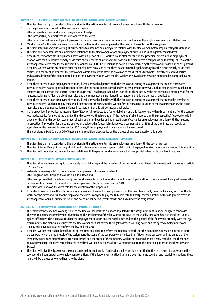#### ARTICLE 9 ENTERING INTO AN EMPLOYMENT RELATION WITH A FLEX WORKER

- 1. The client has the right, considering the provisions in this article to enter into an employment relation with the flex worker.
- 2. For the provisions in this article flex worker also means:
	- the (prospective) flex worker who is registered at Exactpi.
	- the (prospective) flex worker who is introduced to the client
	- the flex worker whose employment provision terminated less than 6 months before the conclusion of the employment relation with the client.
- 3. 'Worked hours' in this article means: hours where the flex worker was employed at the client in the context of the assignment.
- 4. The client informs Exactpi in writing of his intention to enter into an employment relation with the flex worker, before implementing this intention.
- 5. The client will not enter into an employment relation with the flex worker whose employment provision has not legally terminated yet.
- 6. If the client, conform what is stipulated above, within a period of 1500 worked hours after the start of the provision, enters into an employment relation with the flex worker, directly or via third parties, for the same or another position, the client owes a compensation to Exactpi of 35% of the latest applicable client rate for the relevant flex worker over 1500 hours minus the hours already worked by the flex worker based on the assignment.
- 7. If the flex worker, within six months after the employment provision to the client has terminated, applies for a job at the client, directly or via third parties, or if the client approaches the flex worker within six months after the provision to the client has terminates, directly or via third parties, and as a result thereof the client entered into an employment relation with the flex worker, the owed compensation mentioned in paragraph 6 also applies.
- 8. If the client enters into an employment relation, directly or via third parties, with the flex worker during an assignment that can be terminated interim, the client has to right to decide not to consider the notice period agreed under the assignment. However, in that case the client is obliged to compensate the damage that Exactpi suffers through this. This damage is fixed on 35% of the client rate over the not considered notice period for the relevant assignment. Plus, the client must also pay the compensation mentioned in paragraph 6 of this article, insofar applicable.
- 9. If the client enters into an employment relation, directly or via third parties, with the flex worker during an assignment that cannot be terminated interim, the client is obliged to pay the agreed client rate for the relevant flex worker for the remaining duration of the assignment. Plus, the client must also pay the compensation mentioned in paragraph 6 of this article, insofar applicable.
- 10. If a (prospective) flex worker by intervention of Exactpi is introduced to a (potential) client and this flex worker, within three months after this contact was made, applies for a job at the client, either directly or via third parties, or if the (potential) client approaches the (prospective) flex worker within three months after this contact was made, directly or via third parties and as a result thereof concludes an employment relation with the relevant (prospective) flex worker, for the same or another position, this (potential) client owes a compensation of 35% of the client rate that would be applicable for the relevant flex worker for 1500 hours, if the employment provision would have occurred.
- 11 The provisions in Part D, article 26 of these general conditions also applies on the charged allowances based on this article.

#### ARTICLE 10 ENTERING INTO AN EMPLOYMENT RELATION WITH A PAYROLL WORKER

- 1 The client has the right, considering the provisions in this article to enter into an employment relation with the payroll worker.
- 2 The client informs Exactpi in writing of his intention to enter into an employment relation with the payroll worker, before implementing this intention.
- 3 The client will not enter into an employment relation with the payroll worker whose employment provision has not legally terminated yet.

#### ARTICLE 11 RIGHT TO SUSPEND PERFORMENCE

- 1. The client does not have the right to completely or partially suspend the provision of the flex work, unless there is force majeure in the sense of article 6:75 Civil Code.
- 2. In deviation to paragraph 1 of this article such a suspension is however possible if:
	- this is agreed in writing and the duration is stipulated and

- the client proves that there temporarily is no work available or the flex worker cannot be employed and Exactpi can successfully appeal towards the flex worker to exclusion of the continuous salary payment obligation based on the CAO.

- The client does not owe the client rate for the duration of the suspension.
- 3. If the client does not have the right to temporarily suspend the employment provision, but the client temporarily does not have any work for the flex worker or the flex worker cannot be employed, the client is obliged to pay the full client rate to Exactpi for the duration of the assignment over the latest applicable or usual number of hours and overtime per period (week, month and such) under the assignment.

#### ARTICLE 12 EMPLOYMENT DURATION AND WORKING HOURS

- 1. The employment scope and working hours of the flex worker with the client are stipulated in the assignment confirmation, or agreed otherwise. The working hours, the employment duration and the break times of the flex worker are equal to the usually times and hours at the client, unless agreed differently. The client assures that the employment duration and the break times and working hours of the flex worker comply with the legal requirements. The client makes sure that the flex worker does not exceed the legally allowed working hours and the agreed employment scope.
- 2. Holiday and leave is regulated conform the law and the CAO.
- If the flex worker reports him/herself at the agreed time and place to perform the temporary work, but the client does not enable him/her to start the temporary work, or as a result of the assignment the scope of the temporary work is less than fifteen hours per week and the times that the temporary work must be performed are not recorded or if the scope of the temporary work is not recorded or not clearly recorded, the client must at least pay Exactpi the client rate calculated over three worked hours per call out, without prejudice to the other obligations of the client towards **Exactni**
- 4. The client will give the flex worker the opportunity to interrupt work, if an insofar the flex worker is entitled to this as a result of a provision in the Law working hours and/or Law employment conditions. If the flex worker is entitled to salary over the hours spent on such work interruptions, these hours will be charged as worked hours to the client.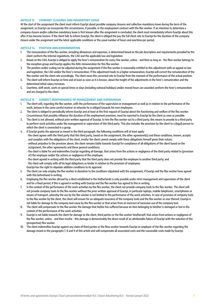#### ARTICLE 13 COMPANY CLOSURES AND MANDATORY LEAVE

At the start of the assignment the client must inform Exactpi about possible company closures and collective mandatory leave during the term of the assignment, so Exactpi can incorporate this circumstance, if possible, in the employment contract with the flex worker. If an intention to determine a company closure and/or collective mandatory leave is first known after the assignment is concluded, the client must immediately inform Exactpi about this after it has become known. If the client fails to inform Exactpi, the client is obliged the pay the full client rate to Exactpi for the duration of the company closure under the assignment and the latest applicable conditions or the usual number of hours and overtime per period.

# ARTICLE 14 POSITION AND REMUNERATION

- 1. The remuneration of the flex worker, including allowances and expenses, is determined based on the job description and requirements provided by the client conform the internal regulations, the CAO and the applicable law and legislation.
- 2. Based on the CAO, Exactpi is obliged to apply the hirer's remuneration for every flex worker, unless and then as long as the flew worker belongs to the exception group and Exactpi applies the ABU remuneration for this flex worker.
- 3. The position and/or scaling can be adjusted during the assignment if the flex worker is reasonably entitled to this adjustment with an appeal on law and legislation, the CAO and/or the hirer's remuneration. If the adjustment leads to a higher remuneration, Exactpi will correct the remuneration of the flex worker and the client rate accordingly. The client owes this corrected rate to Exactpi from the moment of the performance of the actual position.
- 4. The client will inform Exactpi on time and at least as soon as it is known, about the height of the adjustments in the hirer's remuneration and the determined initial salary increases.
- 5. Overtime, shift work, work on special times or days (including national holidays) and/or moved hours are awarded conform the hirer's remuneration and are charged to the client.

#### ARTICLE 15 CORRECT PERFORMANCE OF MANAGEMENT AND SUPERVISION

- 1. The client will, regarding the flex worker, with the performance of the supervision or management as well as in relation to the performance of the work, behave in the same careful manner as whereto he is obliged towards his own employees.
- 2. The client is obliged to periodically inform Exactpi and at least at the first request of Exactpi about the functioning and welfare of the flex worker. Circumstances that possibly influence the duration of the employment provision, must be reported to Exactpi by the client as soon as possible.
- 3. The client is not allowed, without prior written approval of Exactpi, to hire the flex worker out to a third party; this means to provide to a third party to perform work activities under the management or supervision of this third party. This also includes the provision by the client to a (legal) person to which the client is connected in a group.
- 4. If Exactpi grants the approval as meant in the third paragraph, the following conditions will at least apply:
	- the client agrees with the third party that this third party, based on the assignment, the other agreement(s) and these conditions, known, accepts and complies with the obligations of the client, insofar the client cannot comply with these obligations himself given their nature;
		- without prejudice to the provision above, the client remains liable towards Exactpi for compliance of all obligations of the client based on the assignment, the other agreements and these general conditions;
		- the client is liable for and indemnifies Exactpi regarding all damage, that arises from the actions or negligence of the third party related to (provision of) the employee and/or the actions or negligence of the employee;
		- the client agreed in writing with the third party that the third party does not provide the employee to another third party; and
		- the client will comply with all his legal obligations as lender in relation to the provision of employees.
		- Exactpi has the right to stipulate addition conditions to its approval.
- 5. The client can only employ the flex worker in deviation to the conditions stipulated with the assignment, if Exactpi and the flex worker have agreed with this beforehand in writing.
- 6. Employing the flex worker abroad by a client established in the Netherlands is only possible under strict management and supervision of the client and for a fixed period, if this is agreed in writing with Exactpi and the flex worker has agreed to this in writing.
- 7. In the context of the performance of the work activities by the flex worker, the client can provide company tools to the flex worker. The client will not provide company tools to the flex worker without the prior written approval of Exactpi, in particular laptops, mobile telephones, smartphones or means of transport, whereby the use by the flex worker is not limited to the performance of the work activities. In case of provision of company tools to the flex worker by the client, the client will ensure for an adequate insurance of the company tools and the flex worker as user thereof. Exactpi is not liable for damage to the company tool cause by the flex worker or that arises from an incorrect of excessive use of the company tool.
- 8. The client will compensate to the flex worker the damage that he/she has suffered because an item belonging to him/her is damaged or lost in the context of the performance of the work activities.
- 9. Exactpi is not liable towards the client for damage to the client, third parties or the flex worker him/herself, that arises from actions or negligence of the flex worker, unless - and then insofar - this damage is demonstrably the direct result of an attributable failure of Exactpi with the selection of the (prospective) flex worker.
- 10. The client indemnifies Exactpi against any claim of third parties or the flew worker towards Exactpi as employer of the flex worker regarding the damage meant in the paragraphs 7, 8 and 9 of this article and will compensate all associated costs and the reasonable costs made by Exactpi.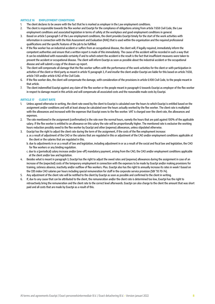#### ARTICLE 16 EMPLOYMENT CONDITIONS

- 1. The client declares to be aware with the fact that he is marked as employer in the Law employment conditions.
- 2. The client is responsible towards the flex worker and Exactpi for the compliance of obligations arising from article 7:658 Civil Code, the Law employment conditions and associated legislation in terms of safety at the workplace and good employment conditions in general.
- 3. Based on article 5 paragraph 5 of the Law employment conditions, the client provides Exactpi timely for the start of the work activities with information in connection with the Risk Assessment and Evaluation (RAE) that is used within the organisation and the required professional qualifications and the specific features of the job to be fulfilled.
- 4. If the flex worker has an industrial accident or suffers from an occupational disease, the client will, if legally required, immediately inform the competent authorities and ensure that a written report is made of this immediately. The cause of the accident will be recorded in such a way that it can be established with reasonable certainty if and to which extent the accident is the result is the fact that insufficient measures were taken to prevent the accident or occupational disease. The client will inform Exactpi as soon as possible about the industrial accident or the occupational disease and will submit a copy of the drawn-up report.
- 5. The client will compensate all damage that the flex worker suffers with the performance of the work activities for the client or with participation in activities of the client or third party as meant in article 15 paragraph 3, if and insofar the client and/or Exactpi are liable for this based on article 7:658, article 7:611 and/or article 6:162 of the Civil Code.
- 6. If the flex worker dies, the client will compensate the damage, with consideration of the provisions in article 6:108 Civil Code, to the people meant in that article.
- 7. The client indemnified Exactpi against any claim of the flex worker or the people meant in paragraph 6 towards Exactpi as employer of the flex worker in respect to damage meant in this article and will compensate all associated costs and the reasonable made costs by Exactpi.

# ARTICLE 17 CLIENT RATE

- 1. Unless agreed otherwise in writing, the client rate owed by the client to Exactpi is calculated over the hours to which Exactpi is entitled based on the assignment and/or conditions and will at least always be calculated over the hours actually worked by the flex worker. The client rate is multiplied with the allowances and increased with the expenses that Exactpi owes to the flex worker. VAT is charged over the client rate, the allowances and expenses.
- 2. The rate mentioned in the assignment (confirmation) is the rate over the normal hours, namely the hours that are paid against 100% of the applicable salary. If the flex worker is entitled to an allowance on this salary the rate will be proportionally higher. The mentioned rate is exclusive the working hours reduction possibly owed to the flex worker by Exactpi and other (expense) allowances, unless stipulated otherwise.
- 3. Exactpi has the right to adjust the client rate during the term of the assignment, if the costs of the flex employment increase:
	- a. as a result of adjustment of the CAO or the salaries that are regulated in this or adjustment of the CAO and/or employment conditions applicable at the client or the salaries that are regulated in this.
		- b. due to adjustments in or as a result of law and legislation, including adjustment in or as a result of the social and fiscal law and legislation, the CAO for flex workers or any binding regulation.
		- c. due to a (periodical) salary increase and/or (one-off) mandatory payment, arising from the CAO, the CAO and/or employment conditions applicable at the client and/or law and legislation.
- 4. Besides what is meant in paragraph 3, Exactpi has the right to adjust the owed rates and (expense) allowances during the assignment in case of an increase of the (expected) costs of the temporary employment in connection with the expenses to be made by Exactpi and/or making provisions for training, sickness absence, inactivity and/or outflow of flex workers. Plus. Exactpi also has the right to annually increase its rates in week 1 based on the CBS index CAO salaries per hours including special remuneration for staff in the corporate service provision (SBI '93 70-74).
- 5. Any adjustment of the client rate will be notified to the client by Exactpi as soon as possible and confirmed to the client in writing.
- 6. If, due to any cause that can be attributed to the client, the remuneration and/or the client rate is determined too low, Exactpi has the right to retroactively bring the remuneration and the client rate to the correct level afterwards. Exactpi can also charge to the client the amount that was short paid and all costs that are made by Exactpi as a result of this.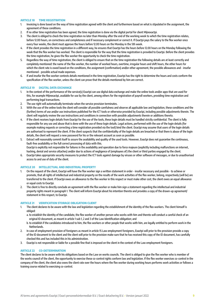#### ARTICLE 18 TIME REGISTRATION

- 1. Invoicing is done based on the way of time registration agreed with the client and furthermore based on what is stipulated in the assignment, the agreement of these conditions.
- 2. If no other time registration has been agreed, the time registration is done via the digital portal for client Mijnexactpi.
- 3. The client is obliged to check the time registration no later than Monday after the end of the working week to which the time registration relates, before 12.00 hours, on correctness and completeness and if necessary complement or correct it. If Exactpi pays the salary to the flex worker once every four weeks, the client must approve the hours before 12.00 hours on the Monday in the 5th week.
- 4. If the client provides the time registration in a different way, he ensures that Exactpi has the hours before 12.00 hours on the Monday following the week that the flex worker has worked. The client is responsible for the way that the time registration is provided to Exactpi. Before the client provides the time registration, he gives the flex worker the opportunity to check the time registration.
- 5. Regardless the way of time registration, the client is obliged to ensure that on the time registration the following details are at least correctly and completely mentioned: the name of the flex worker, the number of worked hours, overtime, irregular hours and shift hours, the other hours for which the client rate is owed based on the conditions, the assignment (confirmation) and/or other agreement, the possible allowances and - insofar mentioned - possible actual made expenses.
- 6. If and insofar the flex worker contests details mentioned in the time registration, Exactpi has the right to determine the hours and costs conform the specification of the flex worker, unless the client can prove that the details mentioned by him are correct.

#### ARTICLE 19 DIGITAL DATA EXCHANGE

- 1. In the context of the performance of the service(s) Exactpi can use digital data exchange and make the online tools and/or apps that are used for this, for example Mijnexactpi, available for use by the client, among others for the registration of payroll workers, providing time registration and performing legal transactions.
- 2. The use right will automatically terminate when the service provision terminates.
- 3. With the use of the online tools the client will consider all possible carefulness and observe all applicable law and legislation, these conditions and the (further) terms of use and/or use instructions published for the ICT tools or otherwise provided by Exactpi, including possible adjustments therein. The client will regularly review the use instructions and conditions in connection with possible adjustments therein or additions thereto.
- 4. If the client receives login details from Exactpi for the use of the tools, these login details must be handled strictly confidential. The client is fully responsible for any use and abuse that is done with the use of these login details. Legal actions, performed with the use of the login details (for example making requests or correcting a time registration provided via the tool) bind the client. Exactpi may assume that users of the login details are authorised to represent the client. If the client suspects that the confidentiality of the login details are breached or that there is abuse of the login details, the client will request a new password for his or the relevant account as soon as possible.
- 5. Extract will reasonably commit itself to assure the availability and quality of the used tools. However, Exactpi does not guarantee the continuous, fault-free availability or the full correct processing of data with this. Exactpi is explicitly not responsible for failures in the availability and operation due to force majeure (explicitly including malfunctions on internet, hacking, denial and service attaches) and/or due to actions of negligence of (employees of) the client or third parties engaged by the client.
- 6. Exactpi takes appropriate security measures to protect the ICT tools against damage by viruses or other software of messages, or due to unauthorised access to and use of data of the client.

#### ARTICLE 20 INTELLECTUAL AND INDUSTRIAL PROPERTY

- 1. On the request of the client, Exactpi will have the flex worker sign a written statement in order insofar necessary and possible to achieve or promote, that all rights of intellectual and industrial property on the results of the work activities of the flex worker, belong, respectively (will be) are transferred to the client. If Exactpi owes an allowance to the flex worker in this respect or must make other cost, the client owes an equal allowance or equal costs to Exactpi.
- 2. The client is free to directly conclude an agreement with the flex worker or make him sign a statement regarding the intellectual and industrial property rights meant in paragraph 1. The client will inform Exactpi about his intention thereto and provides a copy of the drawn-up agreement/ statement in this respect, to Exactpi.

#### ARTICLE 21 VERIFICATION STORAGE OBLIGATION CLIENT

- 1. The client declares to be aware with the law and legislation regarding the establishment of the identity of the flex workers. The client himself is obliged:
	- a. to establish the identity of the candidate, the flex worker of another person who works with him and thereto will conduct a careful check of an original ID document, as meant in article 1 sub 1, 2 and 3 of the Law Identification obligation; and
	- b. to establish if the candidates introduced to him, the flex workers or other people that works with him, are legally entitled to perform work in the Netherlands.
- 2. In case of employment provision of foreigners as meant in article 15 Law employment foreigners, Exactpi will prior to the provision provide a copy of the ID document to the client and the client will prior to the provision make sure that he has received this copy of the ID document, has carefully checked this and has included this in his administration.
- 3. Exactpi is not responsible or liable for a possible fine that is imposed on the client in the context of the Law employment foreigners.

# ARTICLE 22 CO-DETERMINATION

The client declares to be aware with his obligations based on the Law on works councils. The client is obliged to give the flex worker who is member of the works council of the client, the opportunity to exercise these co-control rights conform law and legislation. If the flex worker exercises co-control in the company of the client, the client also owes the client rate over the hours where the flex worker during working hours performs work activities or follows a training course related to exercising co-control.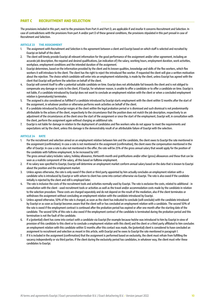# PART C RECRUITMENT AND SELECTION

The provisions included in this part, next to the provisions from Part A and Part D, are applicable if and insofar it concerns Recruitment and Selection. In case of contradictions with the provisions from part A and/or part D of these general conditions, the provisions stipulated in this part prevail in case of Recruitment and Selection.

# ARTICLE 23 THE ASSIGNMENT

- 1. The assignment with Recruitment and Selection is the agreement between a client and Exactpi based on which staff is selected and recruited by Exactpi on behalf of the client.
- 2. The client will timely provide Exactpi all relevant information for the good performance of the assignment and/or other agreement, including an accurate job description, the required and desired qualifications, (an indication of) the salary, working hours, employment duration, work activities, workplace, employment conditions and the intended duration of the assignment.
- 3. Exactpi determines, based on the information provided by the client and its known qualities, knowledge and skills of the flex workers, which flex workers it will introduce to the client. The client has the right to reject the introduced flex worker. If requested the client will give a written motivation about the rejection. The choice which candidate will enter into an employment relationship, is made by the client, unless Exactpi has agreed with the client that Exactpi will perform the selection on behalf of the client.
- 4. Exactpi will commit itself to offer a potential suitable candidate on time. Exactpi does not attributable fail towards the client and is not obliged to compensate any damage or costs to the client, if Exactpi, for whatever reason, is unable to offer a candidate or to offer a candidate on time. Exactpi is not liable, if a candidate introduced by Exactpi does not want to conclude an employment relation with the client or when a concluded employment relation is (prematurely) terminates.
- 5. The assigned is also considered as fulfilled if a candidate introduced by Exactpi starts employment with the client within 12 months after the start of the assignment, in whatever position or otherwise performs work activities on behalf of the client.
- 6. If a candidate introduced by Exactpi resigns at the client within the legal probation period or is dismissed and such dismissal is not predominantly attributable to the actions of the client, respectively to the circumstance that the position does not match the job description, respectively to an adjustment of the circumstances at the client since the start of the assignment or since the start of the employment, Exactpi will, in consultation with the client, perform the assignment again without charging an additional rate.
- 7. Exactpi is not liable for damage in relation to the deployment of candidates and flex workers who do not appear to meet the requirements and expectations set by the client, unless this damage is the demonstrably result of an attributable failure of Exactpi with the selection.

# ARTICLE 24 RATE

1. For the recruitment and selection aimed on an employment relation between him and the candidate, the client owes to Exactpi the rate mentioned in the assignment (confirmation). In case a rate is not mentioned in the assignment (confirmation), the client owes the compensation mentioned in the offer of Exactpi. In case a rate is also not mentioned in the offer, the rate will be 25% of the gross annual salary that would apply for the position of the candidate with fulltime employment, to be increased by VAT.

The gross annual salary includes: salary, holiday allowance, thirteenth month and gratifications and/or other (gross) allowances and those that can be seen as a realistic component of the salary, all this based on fulltime employment.

- 2. If no salary was specified to Exactpi, Exactpi will determine an employment market conform annual salary based on the data that is known to Exactpi about the position and the employment market.
- 3. Unless agrees otherwise, the rate is only owed if the client or third party appointed by him actually concludes an employment relation with a candidate who is introduced by Exactpi or with whom to client has come into contact otherwise via Exactpi. The rate is also owed if the candidate initially is rejected by the client and still is employed later.
- 4. The rate is inclusive the costs of the recruitment tools and activities normally used by Exactpi. The rate is exclusive the costs, related to additional in consultation with the client - used recruitment tools or activities as well as the travel and/or accommodation costs made by the candidate in relation to the selection procedure. These costs are charged separately and do not depend on the result of the mediation, also if the client terminates or withdraws the assignment without concluding an employment relation with the candidate introduced by Exactpi.
- 5. Unless agreed otherwise, 50% of the rate is charged, as soon as the client has indicated to conclude (will conclude) with the candidate introduced by Exactpi or as soon as Exactpi becomes aware that the client will or has concluded an employment relation with a candidate. The second 50% of the rate is owed if the employment contract is continued after the probation period has expired or after one month after the starting date of the candidate. The second 50% of this rate is also owed if the employment contract of the candidate is terminated during the probation period and this termination is not the fault of the candidate.
- 6. If a (potential) client has come into contact with a candidate via Exactpi (for example because he/she was introduced to him by Exactpi in view of provision of this candidate to this client or to conclude a employment relation with this client) and the client or a third party affiliated to him concludes an employment relation with this candidate within 12 months after this contact was made, the (potential) client is considered to have concluded an assignment to recruitment and selection as meant in this article, with Exactpi and he owes to Exactpi the rate mentioned in paragraph 1.
- 7. If it is included in the assignment (confirmation) that the assignment is performed based on exclusivity, the client must refrain from fulfilling the vacancy independently or via third parties. If the client during the exclusivity period has candidates, in whatever way, the client must refer these candidates to Exactpi.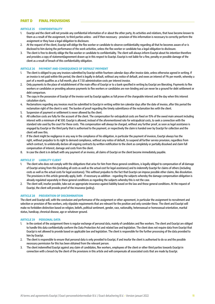# PART D FINAL PROVISIONS

#### ARTICLE 25 CONFIDENTIALITY

- 1. Exactpi and the client will not provide any confidential information of or about the other party, its activities and relations, that have become known to them as a result of the assignment, to third parties unless - and if then necessary - provision of this information is necessary to correctly perform the assignment or they have a legal obligation to disclosure.
- 2. At the request of the client, Exactpi will oblige the flex worker or candidate to observe confidentiality regarding all that he becomes aware of or is disclosed to him during the performance of the work activities, unless the flex worker or candidate has a legal obligation to disclosure.
- 3. The client is free to directly oblige the flex worker or candidate to confidentiality. The client will always inform Exactpi about his intention therefore and provides a copy of statement/agreement drawn up in this respect to Exactpi. Exactpi is not liable for a fine, penalty or possible damage of the client as a result of breach of this confidentiality obligation.

#### ARTICLE 26 PAYMENT AND CONSEQUENCE OF DEFAULT PAYMENT

- The client is obliged to pay any invoices submitted by Exactpi within fourteen calendar days after invoice date, unless otherwise agreed in writing. If an invoice is not paid within this period, the client is legally in default, without any notice of default, and owes an interest of 1% per month, whereby a part of a month qualifies as a full month, plus € 7.50 administration costs per interest invoice.
- 2. Only payments to the place of establishment of the main office of Exactpi or to a bank specified in writing by Exactpi are liberating. Payments to flex workers or candidates or providing advance payments to flex workers or candidates are non-binding and can never be a ground for debt settlement or debt comparison.
- 3. The copy in the possession of Exactpi of the invoice sent by Exactpi applies as full prove of the chargeable interest and the day when this interest calculation starts.
- 4. Reclamations regarding any invoices must be submitted to Exactpi in writing within ten calendar days after the date of invoice, after this period the reclamation right of the client is void. The burden of proof regarding the timely submittance of the reclamation lies with the client.
- 5. Suspension of payment or settlement is never allowed by the client.
- 6. All collection costs are fully for the account of the client. The compensation for extrajudicial costs are fixed on 15% of the owed main amount including interest with a minimum of **€** 500. Exactpi is allowed, instead of the aforementioned rate for extrajudicial costs, to seek a connection with the standard rate used by the court for these costs. This compensation will always be charged, without any further proof, as soon as legal assistance is engaged by Exactpi or the third party that is authorised to the payment, or respectively the claim is handed over by Exactpi for collection and the client will owe this.
- 7. If the client might be negligence in any way in the compliance of his obligation, in particular the payment of invoices, Exactpi always has the right, without prejudice to its right to demand compliance, without any notice of default, to suspend all further service provision, regardless from which contract, to unilaterally declare all ongoing contracts by written notification to the client as completely or partially dissolved and claim full compensation of interest, damage and costs from the client.
- 8. In case the client is in default with any payment of an invoice, all claims of Exactpi on the client become immediately payable.

#### ARTICLE 27 LIABILITY CLIENT

- 1. The client who does not comply with the obligations that arise for him from these general conditions, is legally obliged to compensation of all damage of Exactpi arising from this (including all costs as well as the actual cost for legal assistance) and to indemnify Exactpi for claims of others (including costs as well as the actual costs for legal assistance). This without prejudice to the fact that Exactpi can impose possible other claims, like dissolution. The provisions in this article generally apply, both - if necessary as addition - regarding the subjects whereby the damage compensation obligation is already regulated separately in these general conditions as regarding the subjects whereby this is not the case.
- 2. The client will, insofar possible, take out an appropriate insurance against liability based on the law and these general conditions. At the request of Exactpi, the client will provide proof of the insurance (policy).

#### ARTICLE 28 PREVENTION OF DISCRIMINATION

The client and Exactpi will, with the conclusion and performance of the assignment or other agreement, in particular the assignment to recruitment and selection or provision of flex workers, only stipulate requirements that are relevant for the position and only consider these. The client and Exactpi will make no forbidden distinction based on religion, beliefs, political sentiment, gender, race, nationality, heterosexual or homosexual orientation, marital status, handicap, chronical disease, age or whatever ground.

#### ARTICLE 29 PERSONAL DATA

- 1. In the context of the assignment there is regular exchange of personal data, mainly of candidates and flex workers. The client and Exactpi are obliged to handle this data confidentially conform the Data Protection Act and related law and legislation. The client does not require data from Exactpi that Exactpi is not allowed to provide based on applicable law and legislation. The client is responsible for the further processing of the data provided to him by Exactpi.
- 2. The client is responsible to ensure that personal data is only provided to Exactpi, if and insofar the client is authorised to do so and the possible necessary permission for this has been obtained from the relevant person.
- 3. The client indemnified Exactpi against any claim of candidates, flex workers, employees of the client or other third parties towards Exactpi in connection with a breach by the client of the provisions in this article and will compensate all associated costs that are made by Exactpi.